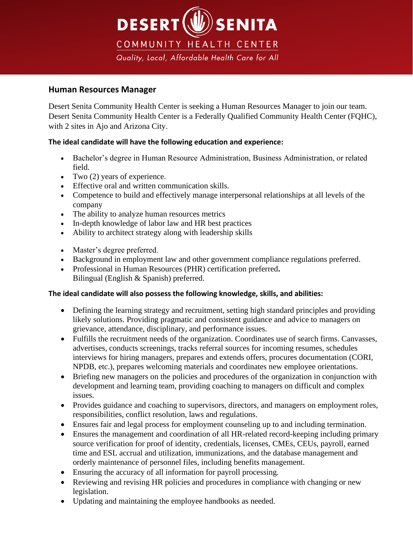

# **Human Resources Manager**

Desert Senita Community Health Center is seeking a Human Resources Manager to join our team. Desert Senita Community Health Center is a Federally Qualified Community Health Center (FQHC), with 2 sites in Ajo and Arizona City.

# **The ideal candidate will have the following education and experience:**

- Bachelor's degree in Human Resource Administration, Business Administration, or related field.
- Two  $(2)$  years of experience.
- Effective oral and written communication skills.
- Competence to build and effectively manage interpersonal relationships at all levels of the company
- The ability to analyze human resources metrics
- In-depth knowledge of labor law and HR best practices
- Ability to architect strategy along with leadership skills
- Master's degree preferred.
- Background in employment law and other government compliance regulations preferred.
- Professional in Human Resources (PHR) certification preferred**.** Bilingual (English & Spanish) preferred.

## **The ideal candidate will also possess the following knowledge, skills, and abilities:**

- Defining the learning strategy and recruitment, setting high standard principles and providing likely solutions. Providing pragmatic and consistent guidance and advice to managers on grievance, attendance, disciplinary, and performance issues.
- Fulfills the recruitment needs of the organization. Coordinates use of search firms. Canvasses, advertises, conducts screenings, tracks referral sources for incoming resumes, schedules interviews for hiring managers, prepares and extends offers, procures documentation (CORI, NPDB, etc.), prepares welcoming materials and coordinates new employee orientations.
- Briefing new managers on the policies and procedures of the organization in conjunction with development and learning team, providing coaching to managers on difficult and complex issues.
- Provides guidance and coaching to supervisors, directors, and managers on employment roles, responsibilities, conflict resolution, laws and regulations.
- Ensures fair and legal process for employment counseling up to and including termination.
- Ensures the management and coordination of all HR-related record-keeping including primary source verification for proof of identity, credentials, licenses, CMEs, CEUs, payroll, earned time and ESL accrual and utilization, immunizations, and the database management and orderly maintenance of personnel files, including benefits management.
- Ensuring the accuracy of all information for payroll processing.
- Reviewing and revising HR policies and procedures in compliance with changing or new legislation.
- Updating and maintaining the employee handbooks as needed.